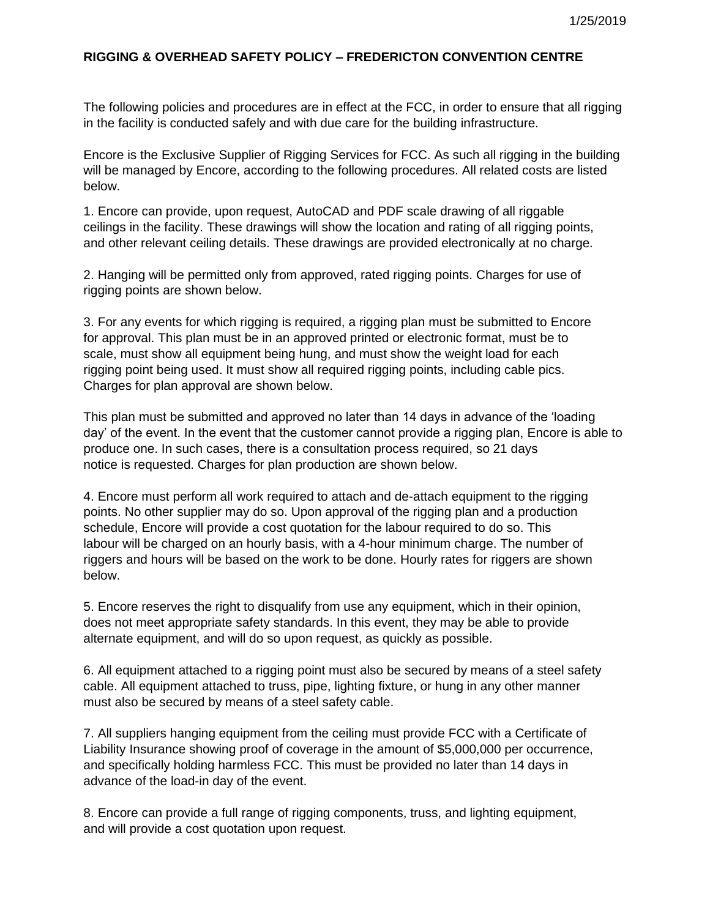## **RIGGING & OVERHEAD SAFETY POLICY – FREDERICTON CONVENTION CENTRE**

The following policies and procedures are in effect at the FCC, in order to ensure that all rigging in the facility is conducted safely and with due care for the building infrastructure.

Encore is the Exclusive Supplier of Rigging Services for FCC. As such all rigging in the building will be managed by Encore, according to the following procedures. All related costs are listed below.

1. Encore can provide, upon request, AutoCAD and PDF scale drawing of all riggable ceilings in the facility. These drawings will show the location and rating of all rigging points, and other relevant ceiling details. These drawings are provided electronically at no charge.

2. Hanging will be permitted only from approved, rated rigging points. Charges for use of rigging points are shown below.

3. For any events for which rigging is required, a rigging plan must be submitted to Encore for approval. This plan must be in an approved printed or electronic format, must be to scale, must show all equipment being hung, and must show the weight load for each rigging point being used. It must show all required rigging points, including cable pics. Charges for plan approval are shown below.

This plan must be submitted and approved no later than 14 days in advance of the 'loading day' of the event. In the event that the customer cannot provide a rigging plan, Encore is able to produce one. In such cases, there is a consultation process required, so 21 days notice is requested. Charges for plan production are shown below.

4. Encore must perform all work required to attach and de-attach equipment to the rigging points. No other supplier may do so. Upon approval of the rigging plan and a production schedule, Encore will provide a cost quotation for the labour required to do so. This labour will be charged on an hourly basis, with a 4-hour minimum charge. The number of riggers and hours will be based on the work to be done. Hourly rates for riggers are shown below.

5. Encore reserves the right to disqualify from use any equipment, which in their opinion, does not meet appropriate safety standards. In this event, they may be able to provide alternate equipment, and will do so upon request, as quickly as possible.

6. All equipment attached to a rigging point must also be secured by means of a steel safety cable. All equipment attached to truss, pipe, lighting fixture, or hung in any other manner must also be secured by means of a steel safety cable.

7. All suppliers hanging equipment from the ceiling must provide FCC with a Certificate of Liability Insurance showing proof of coverage in the amount of \$5,000,000 per occurrence, and specifically holding harmless FCC. This must be provided no later than 14 days in advance of the load-in day of the event.

8. Encore can provide a full range of rigging components, truss, and lighting equipment, and will provide a cost quotation upon request.